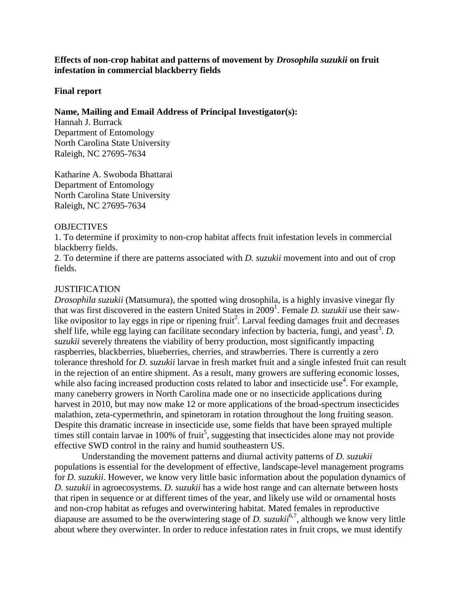## **Effects of non-crop habitat and patterns of movement by** *Drosophila suzukii* **on fruit infestation in commercial blackberry fields**

## **Final report**

## **Name, Mailing and Email Address of Principal Investigator(s):**

Hannah J. Burrack Department of Entomology North Carolina State University Raleigh, NC 27695-7634

Katharine A. Swoboda Bhattarai Department of Entomology North Carolina State University Raleigh, NC 27695-7634

## **OBJECTIVES**

1. To determine if proximity to non-crop habitat affects fruit infestation levels in commercial blackberry fields.

2. To determine if there are patterns associated with *D. suzukii* movement into and out of crop fields.

## **JUSTIFICATION**

*Drosophila suzukii* (Matsumura), the spotted wing drosophila, is a highly invasive vinegar fly that was first discovered in the eastern United States in 2009<sup>1</sup>. Female *D. suzukii* use their sawlike ovipositor to lay eggs in ripe or ripening fruit<sup>2</sup>. Larval feeding damages fruit and decreases shelf life, while egg laying can facilitate secondary infection by bacteria, fungi, and yeast<sup>3</sup>. D. *suzukii* severely threatens the viability of berry production, most significantly impacting raspberries, blackberries, blueberries, cherries, and strawberries. There is currently a zero tolerance threshold for *D. suzukii* larvae in fresh market fruit and a single infested fruit can result in the rejection of an entire shipment. As a result, many growers are suffering economic losses, while also facing increased production costs related to labor and insecticide use<sup>4</sup>. For example, many caneberry growers in North Carolina made one or no insecticide applications during harvest in 2010, but may now make 12 or more applications of the broad-spectrum insecticides malathion, zeta-cypermethrin, and spinetoram in rotation throughout the long fruiting season. Despite this dramatic increase in insecticide use, some fields that have been sprayed multiple times still contain larvae in 100% of fruit<sup>5</sup>, suggesting that insecticides alone may not provide effective SWD control in the rainy and humid southeastern US.

Understanding the movement patterns and diurnal activity patterns of *D. suzukii* populations is essential for the development of effective, landscape-level management programs for *D. suzukii*. However, we know very little basic information about the population dynamics of *D. suzukii* in agroecosystems. *D. suzukii* has a wide host range and can alternate between hosts that ripen in sequence or at different times of the year, and likely use wild or ornamental hosts and non-crop habitat as refuges and overwintering habitat. Mated females in reproductive diapause are assumed to be the overwintering stage of *D. suzukii*<sup>6,7</sup>, although we know very little about where they overwinter. In order to reduce infestation rates in fruit crops, we must identify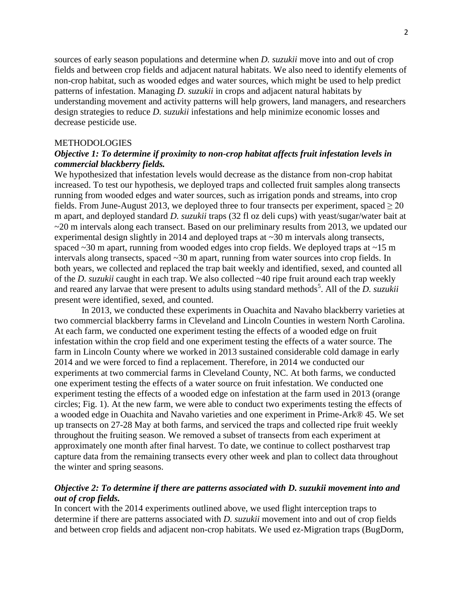sources of early season populations and determine when *D. suzukii* move into and out of crop fields and between crop fields and adjacent natural habitats. We also need to identify elements of non-crop habitat, such as wooded edges and water sources, which might be used to help predict patterns of infestation. Managing *D. suzukii* in crops and adjacent natural habitats by understanding movement and activity patterns will help growers, land managers, and researchers design strategies to reduce *D. suzukii* infestations and help minimize economic losses and decrease pesticide use.

### METHODOLOGIES

# *Objective 1: To determine if proximity to non-crop habitat affects fruit infestation levels in commercial blackberry fields.*

We hypothesized that infestation levels would decrease as the distance from non-crop habitat increased. To test our hypothesis, we deployed traps and collected fruit samples along transects running from wooded edges and water sources, such as irrigation ponds and streams, into crop fields. From June-August 2013, we deployed three to four transects per experiment, spaced  $\geq 20$ m apart, and deployed standard *D. suzukii* traps (32 fl oz deli cups) with yeast/sugar/water bait at  $\sim$ 20 m intervals along each transect. Based on our preliminary results from 2013, we updated our experimental design slightly in 2014 and deployed traps at ~30 m intervals along transects, spaced ~30 m apart, running from wooded edges into crop fields. We deployed traps at ~15 m intervals along transects, spaced ~30 m apart, running from water sources into crop fields. In both years, we collected and replaced the trap bait weekly and identified, sexed, and counted all of the *D. suzukii* caught in each trap. We also collected ~40 ripe fruit around each trap weekly and reared any larvae that were present to adults using standard methods<sup>5</sup>. All of the *D. suzukii* present were identified, sexed, and counted.

In 2013, we conducted these experiments in Ouachita and Navaho blackberry varieties at two commercial blackberry farms in Cleveland and Lincoln Counties in western North Carolina. At each farm, we conducted one experiment testing the effects of a wooded edge on fruit infestation within the crop field and one experiment testing the effects of a water source. The farm in Lincoln County where we worked in 2013 sustained considerable cold damage in early 2014 and we were forced to find a replacement. Therefore, in 2014 we conducted our experiments at two commercial farms in Cleveland County, NC. At both farms, we conducted one experiment testing the effects of a water source on fruit infestation. We conducted one experiment testing the effects of a wooded edge on infestation at the farm used in 2013 (orange circles; Fig. 1). At the new farm, we were able to conduct two experiments testing the effects of a wooded edge in Ouachita and Navaho varieties and one experiment in Prime-Ark® 45. We set up transects on 27-28 May at both farms, and serviced the traps and collected ripe fruit weekly throughout the fruiting season. We removed a subset of transects from each experiment at approximately one month after final harvest. To date, we continue to collect postharvest trap capture data from the remaining transects every other week and plan to collect data throughout the winter and spring seasons.

# *Objective 2: To determine if there are patterns associated with D. suzukii movement into and out of crop fields.*

In concert with the 2014 experiments outlined above, we used flight interception traps to determine if there are patterns associated with *D. suzukii* movement into and out of crop fields and between crop fields and adjacent non-crop habitats. We used ez-Migration traps (BugDorm,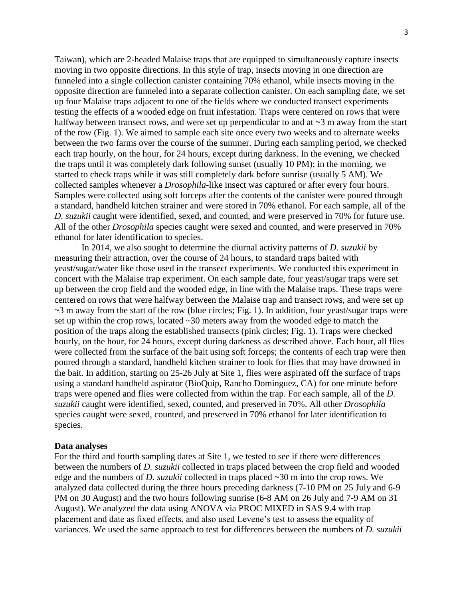Taiwan), which are 2-headed Malaise traps that are equipped to simultaneously capture insects moving in two opposite directions. In this style of trap, insects moving in one direction are funneled into a single collection canister containing 70% ethanol, while insects moving in the opposite direction are funneled into a separate collection canister. On each sampling date, we set up four Malaise traps adjacent to one of the fields where we conducted transect experiments testing the effects of a wooded edge on fruit infestation. Traps were centered on rows that were halfway between transect rows, and were set up perpendicular to and at  $\sim$ 3 m away from the start of the row (Fig. 1). We aimed to sample each site once every two weeks and to alternate weeks between the two farms over the course of the summer. During each sampling period, we checked each trap hourly, on the hour, for 24 hours, except during darkness. In the evening, we checked the traps until it was completely dark following sunset (usually 10 PM); in the morning, we started to check traps while it was still completely dark before sunrise (usually 5 AM). We collected samples whenever a *Drosophila*-like insect was captured or after every four hours. Samples were collected using soft forceps after the contents of the canister were poured through a standard, handheld kitchen strainer and were stored in 70% ethanol. For each sample, all of the *D. suzukii* caught were identified, sexed, and counted, and were preserved in 70% for future use. All of the other *Drosophila* species caught were sexed and counted, and were preserved in 70% ethanol for later identification to species.

In 2014, we also sought to determine the diurnal activity patterns of *D. suzukii* by measuring their attraction, over the course of 24 hours, to standard traps baited with yeast/sugar/water like those used in the transect experiments. We conducted this experiment in concert with the Malaise trap experiment. On each sample date, four yeast/sugar traps were set up between the crop field and the wooded edge, in line with the Malaise traps. These traps were centered on rows that were halfway between the Malaise trap and transect rows, and were set up  $\sim$ 3 m away from the start of the row (blue circles; Fig. 1). In addition, four yeast/sugar traps were set up within the crop rows, located ~30 meters away from the wooded edge to match the position of the traps along the established transects (pink circles; Fig. 1). Traps were checked hourly, on the hour, for 24 hours, except during darkness as described above. Each hour, all flies were collected from the surface of the bait using soft forceps; the contents of each trap were then poured through a standard, handheld kitchen strainer to look for flies that may have drowned in the bait. In addition, starting on 25-26 July at Site 1, flies were aspirated off the surface of traps using a standard handheld aspirator (BioQuip, Rancho Dominguez, CA) for one minute before traps were opened and flies were collected from within the trap. For each sample, all of the *D. suzukii* caught were identified, sexed, counted, and preserved in 70%. All other *Drosophila* species caught were sexed, counted, and preserved in 70% ethanol for later identification to species.

#### **Data analyses**

For the third and fourth sampling dates at Site 1, we tested to see if there were differences between the numbers of *D. suzukii* collected in traps placed between the crop field and wooded edge and the numbers of *D. suzukii* collected in traps placed ~30 m into the crop rows. We analyzed data collected during the three hours preceding darkness (7-10 PM on 25 July and 6-9 PM on 30 August) and the two hours following sunrise (6-8 AM on 26 July and 7-9 AM on 31 August). We analyzed the data using ANOVA via PROC MIXED in SAS 9.4 with trap placement and date as fixed effects, and also used Levene's test to assess the equality of variances. We used the same approach to test for differences between the numbers of *D. suzukii*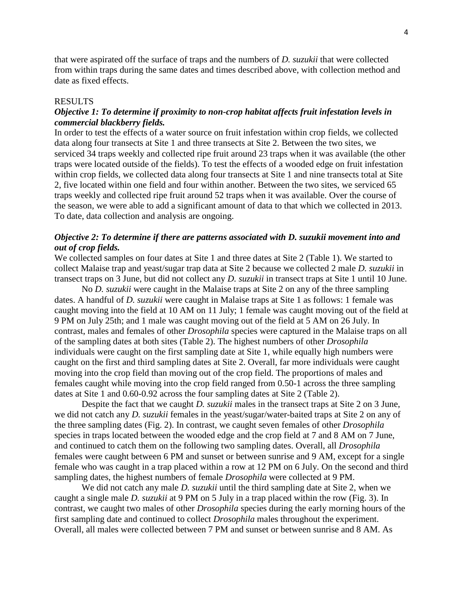that were aspirated off the surface of traps and the numbers of *D. suzukii* that were collected from within traps during the same dates and times described above, with collection method and date as fixed effects.

### RESULTS

# *Objective 1: To determine if proximity to non-crop habitat affects fruit infestation levels in commercial blackberry fields.*

In order to test the effects of a water source on fruit infestation within crop fields, we collected data along four transects at Site 1 and three transects at Site 2. Between the two sites, we serviced 34 traps weekly and collected ripe fruit around 23 traps when it was available (the other traps were located outside of the fields). To test the effects of a wooded edge on fruit infestation within crop fields, we collected data along four transects at Site 1 and nine transects total at Site 2, five located within one field and four within another. Between the two sites, we serviced 65 traps weekly and collected ripe fruit around 52 traps when it was available. Over the course of the season, we were able to add a significant amount of data to that which we collected in 2013. To date, data collection and analysis are ongoing.

# *Objective 2: To determine if there are patterns associated with D. suzukii movement into and out of crop fields.*

We collected samples on four dates at Site 1 and three dates at Site 2 (Table 1). We started to collect Malaise trap and yeast/sugar trap data at Site 2 because we collected 2 male *D. suzukii* in transect traps on 3 June, but did not collect any *D. suzukii* in transect traps at Site 1 until 10 June.

No *D. suzukii* were caught in the Malaise traps at Site 2 on any of the three sampling dates. A handful of *D. suzukii* were caught in Malaise traps at Site 1 as follows: 1 female was caught moving into the field at 10 AM on 11 July; 1 female was caught moving out of the field at 9 PM on July 25th; and 1 male was caught moving out of the field at 5 AM on 26 July. In contrast, males and females of other *Drosophila* species were captured in the Malaise traps on all of the sampling dates at both sites (Table 2). The highest numbers of other *Drosophila* individuals were caught on the first sampling date at Site 1, while equally high numbers were caught on the first and third sampling dates at Site 2. Overall, far more individuals were caught moving into the crop field than moving out of the crop field. The proportions of males and females caught while moving into the crop field ranged from 0.50-1 across the three sampling dates at Site 1 and 0.60-0.92 across the four sampling dates at Site 2 (Table 2).

Despite the fact that we caught *D. suzukii* males in the transect traps at Site 2 on 3 June, we did not catch any *D. suzukii* females in the yeast/sugar/water-baited traps at Site 2 on any of the three sampling dates (Fig. 2). In contrast, we caught seven females of other *Drosophila* species in traps located between the wooded edge and the crop field at 7 and 8 AM on 7 June, and continued to catch them on the following two sampling dates. Overall, all *Drosophila* females were caught between 6 PM and sunset or between sunrise and 9 AM, except for a single female who was caught in a trap placed within a row at 12 PM on 6 July. On the second and third sampling dates, the highest numbers of female *Drosophila* were collected at 9 PM.

We did not catch any male *D. suzukii* until the third sampling date at Site 2, when we caught a single male *D. suzukii* at 9 PM on 5 July in a trap placed within the row (Fig. 3). In contrast, we caught two males of other *Drosophila* species during the early morning hours of the first sampling date and continued to collect *Drosophila* males throughout the experiment. Overall, all males were collected between 7 PM and sunset or between sunrise and 8 AM. As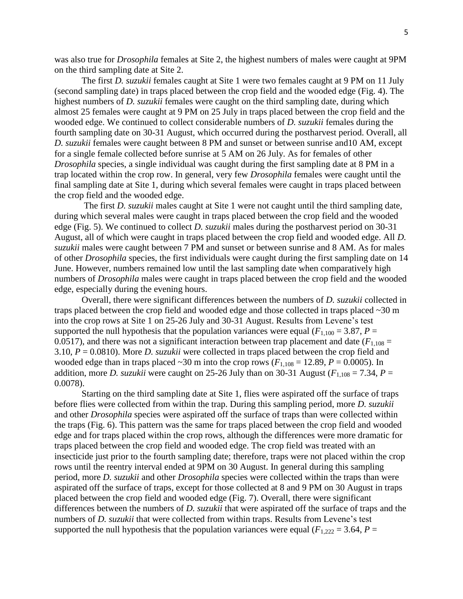was also true for *Drosophila* females at Site 2, the highest numbers of males were caught at 9PM on the third sampling date at Site 2.

The first *D. suzukii* females caught at Site 1 were two females caught at 9 PM on 11 July (second sampling date) in traps placed between the crop field and the wooded edge (Fig. 4). The highest numbers of *D. suzukii* females were caught on the third sampling date, during which almost 25 females were caught at 9 PM on 25 July in traps placed between the crop field and the wooded edge. We continued to collect considerable numbers of *D. suzukii* females during the fourth sampling date on 30-31 August, which occurred during the postharvest period. Overall, all *D. suzukii* females were caught between 8 PM and sunset or between sunrise and10 AM, except for a single female collected before sunrise at 5 AM on 26 July. As for females of other *Drosophila* species, a single individual was caught during the first sampling date at 8 PM in a trap located within the crop row. In general, very few *Drosophila* females were caught until the final sampling date at Site 1, during which several females were caught in traps placed between the crop field and the wooded edge.

The first *D. suzukii* males caught at Site 1 were not caught until the third sampling date, during which several males were caught in traps placed between the crop field and the wooded edge (Fig. 5). We continued to collect *D. suzukii* males during the postharvest period on 30-31 August, all of which were caught in traps placed between the crop field and wooded edge. All *D. suzukii* males were caught between 7 PM and sunset or between sunrise and 8 AM. As for males of other *Drosophila* species, the first individuals were caught during the first sampling date on 14 June. However, numbers remained low until the last sampling date when comparatively high numbers of *Drosophila* males were caught in traps placed between the crop field and the wooded edge, especially during the evening hours.

Overall, there were significant differences between the numbers of *D. suzukii* collected in traps placed between the crop field and wooded edge and those collected in traps placed ~30 m into the crop rows at Site 1 on 25-26 July and 30-31 August. Results from Levene's test supported the null hypothesis that the population variances were equal ( $F_{1,100} = 3.87$ ,  $P =$ 0.0517), and there was not a significant interaction between trap placement and date  $(F_{1,108} =$ 3.10, *P* = 0.0810). More *D. suzukii* were collected in traps placed between the crop field and wooded edge than in traps placed  $\sim$ 30 m into the crop rows ( $F_{1,108}$  = 12.89,  $P = 0.0005$ ). In addition, more *D. suzukii* were caught on 25-26 July than on 30-31 August ( $F_{1,108} = 7.34$ ,  $P =$ 0.0078).

Starting on the third sampling date at Site 1, flies were aspirated off the surface of traps before flies were collected from within the trap. During this sampling period, more *D. suzukii* and other *Drosophila* species were aspirated off the surface of traps than were collected within the traps (Fig. 6). This pattern was the same for traps placed between the crop field and wooded edge and for traps placed within the crop rows, although the differences were more dramatic for traps placed between the crop field and wooded edge. The crop field was treated with an insecticide just prior to the fourth sampling date; therefore, traps were not placed within the crop rows until the reentry interval ended at 9PM on 30 August. In general during this sampling period, more *D. suzukii* and other *Drosophila* species were collected within the traps than were aspirated off the surface of traps, except for those collected at 8 and 9 PM on 30 August in traps placed between the crop field and wooded edge (Fig. 7). Overall, there were significant differences between the numbers of *D. suzukii* that were aspirated off the surface of traps and the numbers of *D. suzukii* that were collected from within traps. Results from Levene's test supported the null hypothesis that the population variances were equal ( $F_{1,222} = 3.64$ ,  $P =$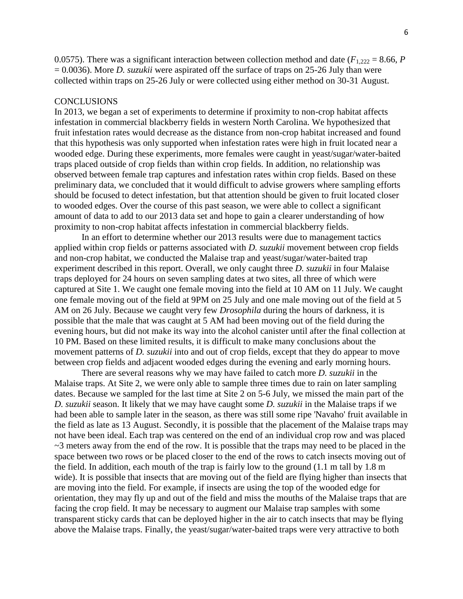0.0575). There was a significant interaction between collection method and date ( $F_{1,222} = 8.66$ , *P* = 0.0036). More *D. suzukii* were aspirated off the surface of traps on 25-26 July than were collected within traps on 25-26 July or were collected using either method on 30-31 August.

### **CONCLUSIONS**

In 2013, we began a set of experiments to determine if proximity to non-crop habitat affects infestation in commercial blackberry fields in western North Carolina. We hypothesized that fruit infestation rates would decrease as the distance from non-crop habitat increased and found that this hypothesis was only supported when infestation rates were high in fruit located near a wooded edge. During these experiments, more females were caught in yeast/sugar/water-baited traps placed outside of crop fields than within crop fields. In addition, no relationship was observed between female trap captures and infestation rates within crop fields. Based on these preliminary data, we concluded that it would difficult to advise growers where sampling efforts should be focused to detect infestation, but that attention should be given to fruit located closer to wooded edges. Over the course of this past season, we were able to collect a significant amount of data to add to our 2013 data set and hope to gain a clearer understanding of how proximity to non-crop habitat affects infestation in commercial blackberry fields.

In an effort to determine whether our 2013 results were due to management tactics applied within crop fields or patterns associated with *D. suzukii* movement between crop fields and non-crop habitat, we conducted the Malaise trap and yeast/sugar/water-baited trap experiment described in this report. Overall, we only caught three *D. suzukii* in four Malaise traps deployed for 24 hours on seven sampling dates at two sites, all three of which were captured at Site 1. We caught one female moving into the field at 10 AM on 11 July. We caught one female moving out of the field at 9PM on 25 July and one male moving out of the field at 5 AM on 26 July. Because we caught very few *Drosophila* during the hours of darkness, it is possible that the male that was caught at 5 AM had been moving out of the field during the evening hours, but did not make its way into the alcohol canister until after the final collection at 10 PM. Based on these limited results, it is difficult to make many conclusions about the movement patterns of *D. suzukii* into and out of crop fields, except that they do appear to move between crop fields and adjacent wooded edges during the evening and early morning hours.

There are several reasons why we may have failed to catch more *D. suzukii* in the Malaise traps. At Site 2, we were only able to sample three times due to rain on later sampling dates. Because we sampled for the last time at Site 2 on 5-6 July, we missed the main part of the *D. suzukii* season. It likely that we may have caught some *D. suzukii* in the Malaise traps if we had been able to sample later in the season, as there was still some ripe 'Navaho' fruit available in the field as late as 13 August. Secondly, it is possible that the placement of the Malaise traps may not have been ideal. Each trap was centered on the end of an individual crop row and was placed  $\sim$ 3 meters away from the end of the row. It is possible that the traps may need to be placed in the space between two rows or be placed closer to the end of the rows to catch insects moving out of the field. In addition, each mouth of the trap is fairly low to the ground (1.1 m tall by 1.8 m wide). It is possible that insects that are moving out of the field are flying higher than insects that are moving into the field. For example, if insects are using the top of the wooded edge for orientation, they may fly up and out of the field and miss the mouths of the Malaise traps that are facing the crop field. It may be necessary to augment our Malaise trap samples with some transparent sticky cards that can be deployed higher in the air to catch insects that may be flying above the Malaise traps. Finally, the yeast/sugar/water-baited traps were very attractive to both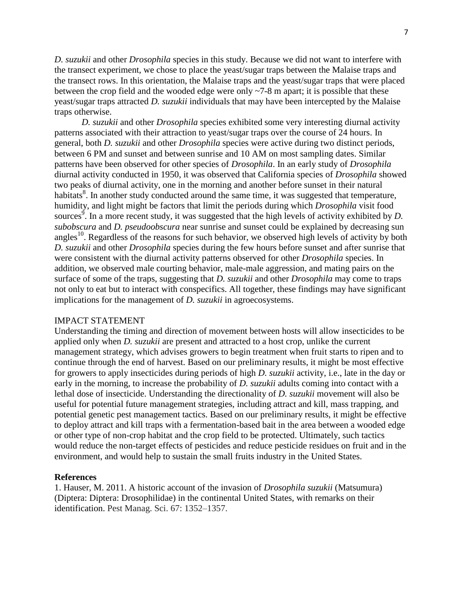*D. suzukii* and other *Drosophila* species in this study. Because we did not want to interfere with the transect experiment, we chose to place the yeast/sugar traps between the Malaise traps and the transect rows. In this orientation, the Malaise traps and the yeast/sugar traps that were placed between the crop field and the wooded edge were only ~7-8 m apart; it is possible that these yeast/sugar traps attracted *D. suzukii* individuals that may have been intercepted by the Malaise traps otherwise.

*D. suzukii* and other *Drosophila* species exhibited some very interesting diurnal activity patterns associated with their attraction to yeast/sugar traps over the course of 24 hours. In general, both *D. suzukii* and other *Drosophila* species were active during two distinct periods, between 6 PM and sunset and between sunrise and 10 AM on most sampling dates. Similar patterns have been observed for other species of *Drosophila*. In an early study of *Drosophila* diurnal activity conducted in 1950, it was observed that California species of *Drosophila* showed two peaks of diurnal activity, one in the morning and another before sunset in their natural habitats<sup>8</sup>. In another study conducted around the same time, it was suggested that temperature, humidity, and light might be factors that limit the periods during which *Drosophila* visit food sources<sup>9</sup>. In a more recent study, it was suggested that the high levels of activity exhibited by *D*. *subobscura* and *D. pseudoobscura* near sunrise and sunset could be explained by decreasing sun angles<sup>10</sup>. Regardless of the reasons for such behavior, we observed high levels of activity by both *D. suzukii* and other *Drosophila* species during the few hours before sunset and after sunrise that were consistent with the diurnal activity patterns observed for other *Drosophila* species. In addition, we observed male courting behavior, male-male aggression, and mating pairs on the surface of some of the traps, suggesting that *D. suzukii* and other *Drosophila* may come to traps not only to eat but to interact with conspecifics. All together, these findings may have significant implications for the management of *D. suzukii* in agroecosystems.

## IMPACT STATEMENT

Understanding the timing and direction of movement between hosts will allow insecticides to be applied only when *D. suzukii* are present and attracted to a host crop, unlike the current management strategy, which advises growers to begin treatment when fruit starts to ripen and to continue through the end of harvest. Based on our preliminary results, it might be most effective for growers to apply insecticides during periods of high *D. suzukii* activity, i.e., late in the day or early in the morning, to increase the probability of *D. suzukii* adults coming into contact with a lethal dose of insecticide. Understanding the directionality of *D. suzukii* movement will also be useful for potential future management strategies, including attract and kill, mass trapping, and potential genetic pest management tactics. Based on our preliminary results, it might be effective to deploy attract and kill traps with a fermentation-based bait in the area between a wooded edge or other type of non-crop habitat and the crop field to be protected. Ultimately, such tactics would reduce the non-target effects of pesticides and reduce pesticide residues on fruit and in the environment, and would help to sustain the small fruits industry in the United States.

### **References**

1. Hauser, M. 2011. A historic account of the invasion of *Drosophila suzukii* (Matsumura) (Diptera: Diptera: Drosophilidae) in the continental United States, with remarks on their identification. Pest Manag. Sci. 67: 1352–1357.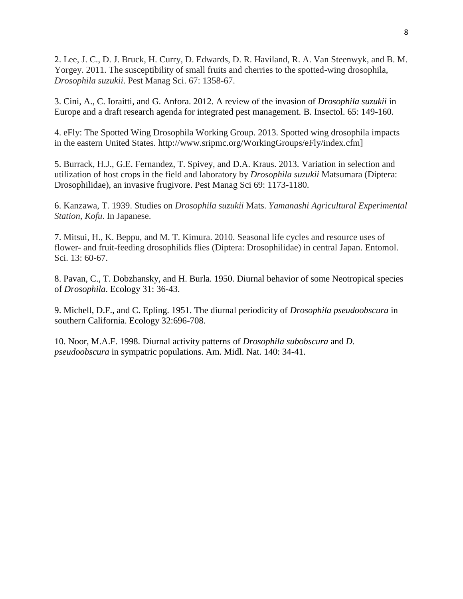2. Lee, J. C., D. J. Bruck, H. Curry, D. Edwards, D. R. Haviland, R. A. Van Steenwyk, and B. M. Yorgey. 2011. The susceptibility of small fruits and cherries to the spotted-wing drosophila, *Drosophila suzukii*. Pest Manag Sci. 67: 1358-67.

3. Cini, A., C. Ioraitti, and G. Anfora. 2012. A review of the invasion of *Drosophila suzukii* in Europe and a draft research agenda for integrated pest management. B. Insectol. 65: 149-160.

4. eFly: The Spotted Wing Drosophila Working Group. 2013. Spotted wing drosophila impacts in the eastern United States. http://www.sripmc.org/WorkingGroups/eFly/index.cfm]

5. Burrack, H.J., G.E. Fernandez, T. Spivey, and D.A. Kraus. 2013. Variation in selection and utilization of host crops in the field and laboratory by *Drosophila suzukii* Matsumara (Diptera: Drosophilidae), an invasive frugivore. Pest Manag Sci 69: 1173-1180.

6. Kanzawa, T. 1939. Studies on *Drosophila suzukii* Mats. *Yamanashi Agricultural Experimental Station, Kofu*. In Japanese.

7. Mitsui, H., K. Beppu, and M. T. Kimura. 2010. Seasonal life cycles and resource uses of flower- and fruit-feeding drosophilids flies (Diptera: Drosophilidae) in central Japan. Entomol. Sci. 13: 60-67.

8. Pavan, C., T. Dobzhansky, and H. Burla. 1950. Diurnal behavior of some Neotropical species of *Drosophila*. Ecology 31: 36-43.

9. Michell, D.F., and C. Epling. 1951. The diurnal periodicity of *Drosophila pseudoobscura* in southern California. Ecology 32:696-708.

10. Noor, M.A.F. 1998. Diurnal activity patterns of *Drosophila subobscura* and *D. pseudoobscura* in sympatric populations. Am. Midl. Nat. 140: 34-41.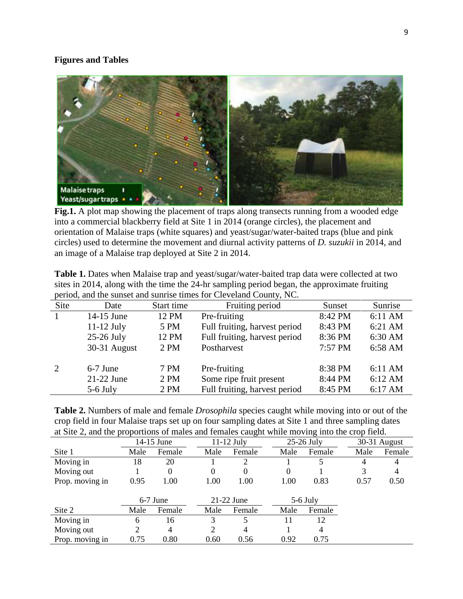## **Figures and Tables**



Fig.1. A plot map showing the placement of traps along transects running from a wooded edge into a commercial blackberry field at Site 1 in 2014 (orange circles), the placement and orientation of Malaise traps (white squares) and yeast/sugar/water-baited traps (blue and pink circles) used to determine the movement and diurnal activity patterns of *D. suzukii* in 2014, and an image of a Malaise trap deployed at Site 2 in 2014.

| $\beta$ , and the state $\beta$ and $\beta$ and $\beta$ and $\beta$ and $\beta$ and $\beta$ and $\beta$ and $\beta$ and $\beta$ and $\beta$ |              |            |                               |         |                   |  |  |  |  |  |  |
|---------------------------------------------------------------------------------------------------------------------------------------------|--------------|------------|-------------------------------|---------|-------------------|--|--|--|--|--|--|
| Site                                                                                                                                        | Date         | Start time | Fruiting period               | Sunset  | Sunrise           |  |  |  |  |  |  |
| $\overline{1}$                                                                                                                              | 14-15 June   | 12 PM      | Pre-fruiting                  | 8:42 PM | 6:11 AM           |  |  |  |  |  |  |
|                                                                                                                                             | $11-12$ July | 5 PM       | Full fruiting, harvest period | 8:43 PM | 6:21 AM           |  |  |  |  |  |  |
|                                                                                                                                             | $25-26$ July | 12 PM      | Full fruiting, harvest period | 8:36 PM | 6:30 AM           |  |  |  |  |  |  |
|                                                                                                                                             | 30-31 August | 2 PM       | Postharvest                   | 7:57 PM | 6:58 AM           |  |  |  |  |  |  |
|                                                                                                                                             |              |            |                               |         |                   |  |  |  |  |  |  |
| 2                                                                                                                                           | $6-7$ June   | 7 PM       | Pre-fruiting                  | 8:38 PM | $6:11 \text{ AM}$ |  |  |  |  |  |  |
|                                                                                                                                             | $21-22$ June | 2 PM       | Some ripe fruit present       | 8:44 PM | 6:12 AM           |  |  |  |  |  |  |
|                                                                                                                                             | $5-6$ July   | 2 PM       | Full fruiting, harvest period | 8:45 PM | 6:17 AM           |  |  |  |  |  |  |

**Table 1.** Dates when Malaise trap and yeast/sugar/water-baited trap data were collected at two sites in 2014, along with the time the 24-hr sampling period began, the approximate fruiting period, and the sunset and sunrise times for Cleveland County, NC.

| <b>Table 2.</b> Numbers of male and female <i>Drosophila</i> species caught while moving into or out of the |
|-------------------------------------------------------------------------------------------------------------|
| crop field in four Malaise traps set up on four sampling dates at Site 1 and three sampling dates           |
| at Site 2, and the proportions of males and females caught while moving into the crop field.                |

|                 |            |        |          | ັ            |  |              | ັ      |              |        |  |
|-----------------|------------|--------|----------|--------------|--|--------------|--------|--------------|--------|--|
|                 | 14-15 June |        |          | $11-12$ July |  | $25-26$ July |        | 30-31 August |        |  |
| Site 1          | Male       | Female | Male     | Female       |  | Male         | Female | Male         | Female |  |
| Moving in       | 18         | 20     |          | 2            |  |              | 5.     | 4            | 4      |  |
| Moving out      |            | 0      | $^{(1)}$ | 0            |  | $\theta$     |        | 3            | 4      |  |
| Prop. moving in | 0.95       | 1.00   | 1.00     | 1.00         |  | 1.00         | 0.83   | 0.57         | 0.50   |  |
|                 |            |        |          |              |  |              |        |              |        |  |
|                 | $6-7$ June |        |          | $21-22$ June |  | $5-6$ July   |        |              |        |  |
| Site 2          | Male       | Female | Male     | Female       |  | Male         | Female |              |        |  |
| Moving in       | 6          | 16     | 3        | 5.           |  |              | 12     |              |        |  |
| Moving out      | 2          | 4      | 2        | 4            |  |              | 4      |              |        |  |
| Prop. moving in | 0.75       | 0.80   | 0.60     | 0.56         |  | 0.92         | 0.75   |              |        |  |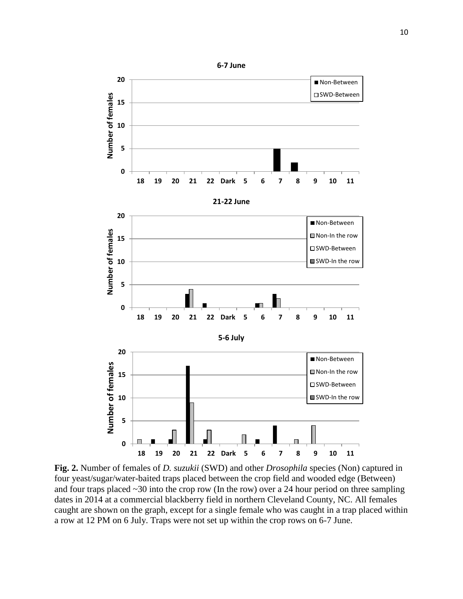

**Fig. 2.** Number of females of *D. suzukii* (SWD) and other *Drosophila* species (Non) captured in four yeast/sugar/water-baited traps placed between the crop field and wooded edge (Between) and four traps placed ~30 into the crop row (In the row) over a 24 hour period on three sampling dates in 2014 at a commercial blackberry field in northern Cleveland County, NC. All females caught are shown on the graph, except for a single female who was caught in a trap placed within a row at 12 PM on 6 July. Traps were not set up within the crop rows on 6-7 June.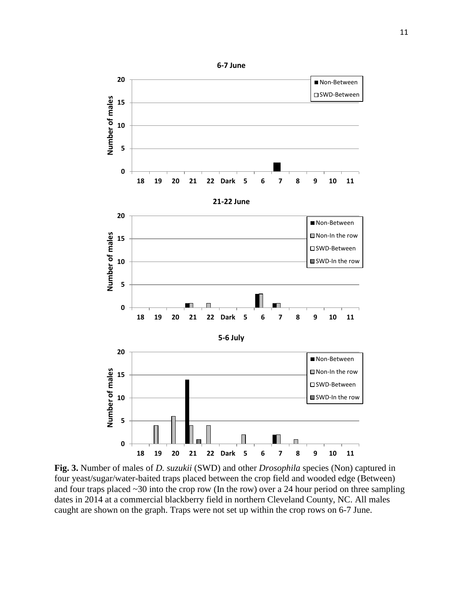

**Fig. 3.** Number of males of *D. suzukii* (SWD) and other *Drosophila* species (Non) captured in four yeast/sugar/water-baited traps placed between the crop field and wooded edge (Between) and four traps placed ~30 into the crop row (In the row) over a 24 hour period on three sampling dates in 2014 at a commercial blackberry field in northern Cleveland County, NC. All males caught are shown on the graph. Traps were not set up within the crop rows on 6-7 June.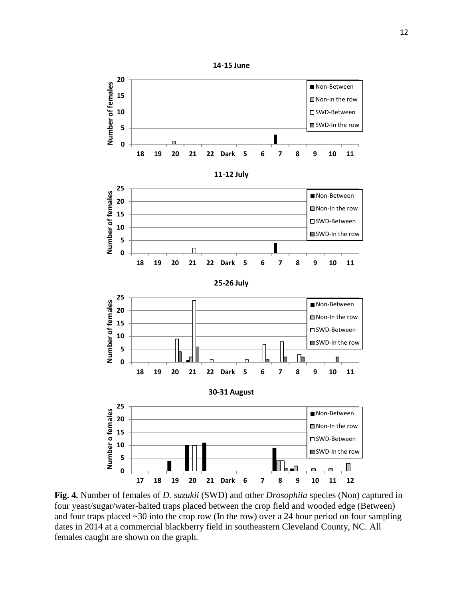

**Fig. 4.** Number of females of *D. suzukii* (SWD) and other *Drosophila* species (Non) captured in four yeast/sugar/water-baited traps placed between the crop field and wooded edge (Between) and four traps placed  $\sim$ 30 into the crop row (In the row) over a 24 hour period on four sampling dates in 2014 at a commercial blackberry field in southeastern Cleveland County, NC. All females caught are shown on the graph.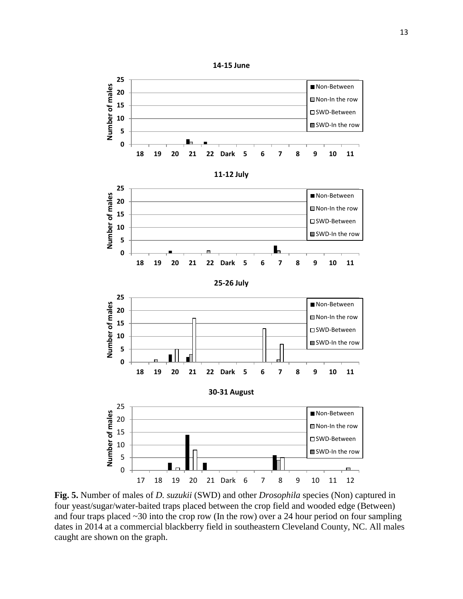

**Fig. 5.** Number of males of *D. suzukii* (SWD) and other *Drosophila* species (Non) captured in four yeast/sugar/water-baited traps placed between the crop field and wooded edge (Between) and four traps placed  $\sim$ 30 into the crop row (In the row) over a 24 hour period on four sampling dates in 2014 at a commercial blackberry field in southeastern Cleveland County, NC. All males caught are shown on the graph.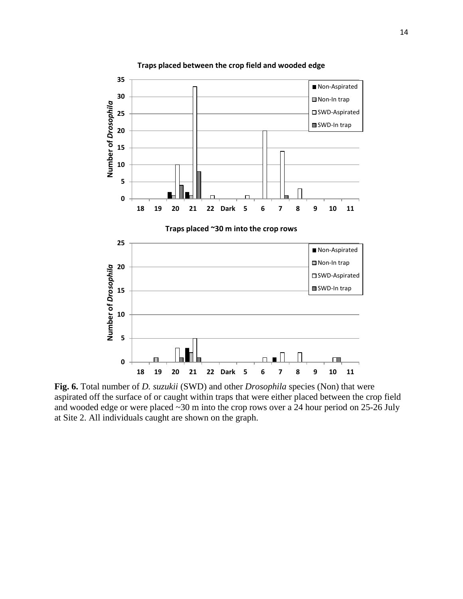

**Fig. 6.** Total number of *D. suzukii* (SWD) and other *Drosophila* species (Non) that were aspirated off the surface of or caught within traps that were either placed between the crop field and wooded edge or were placed ~30 m into the crop rows over a 24 hour period on 25-26 July at Site 2. All individuals caught are shown on the graph.